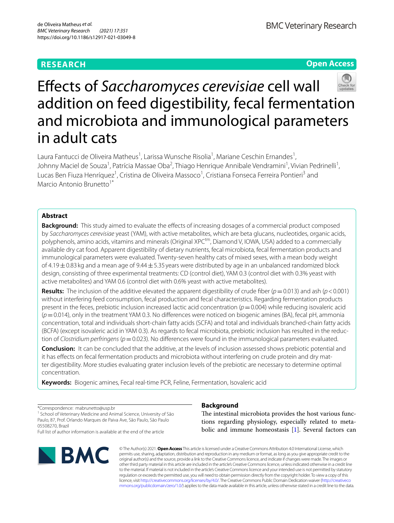# **RESEARCH**

**Open Access**



Laura Fantucci de Oliveira Matheus<sup>1</sup>, Larissa Wunsche Risolia<sup>1</sup>, Mariane Ceschin Ernandes<sup>1</sup>, Johnny Maciel de Souza<sup>1</sup>, Patrícia Massae Oba<sup>2</sup>, Thiago Henrique Annibale Vendramini<sup>1</sup>, Vivian Pedrinelli<sup>1</sup>, Lucas Ben Fiuza Henríquez<sup>1</sup>, Cristina de Oliveira Massoco<sup>1</sup>, Cristiana Fonseca Ferreira Pontieri<sup>3</sup> and Marcio Antonio Brunetto<sup>1\*</sup>

# **Abstract**

**Background:** This study aimed to evaluate the effects of increasing dosages of a commercial product composed by *Saccharomyces cerevisiae* yeast (YAM), with active metabolites, which are beta glucans, nucleotides, organic acids, polyphenols, amino acids, vitamins and minerals (Original XPC<sup>tm</sup>, Diamond V, IOWA, USA) added to a commercially available dry cat food. Apparent digestibility of dietary nutrients, fecal microbiota, fecal fermentation products and immunological parameters were evaluated. Twenty-seven healthy cats of mixed sexes, with a mean body weight of  $4.19\pm0.83$  kg and a mean age of 9.44 $\pm$  5.35 years were distributed by age in an unbalanced randomized block design, consisting of three experimental treatments: CD (control diet), YAM 0.3 (control diet with 0.3% yeast with active metabolites) and YAM 0.6 (control diet with 0.6% yeast with active metabolites).

**Results:** The inclusion of the additive elevated the apparent digestibility of crude fber (*p*=0.013) and ash (*p*<0.001) without interfering feed consumption, fecal production and fecal characteristics. Regarding fermentation products present in the feces, prebiotic inclusion increased lactic acid concentration  $(p=0.004)$  while reducing isovaleric acid (*p*=0.014), only in the treatment YAM 0.3. No diferences were noticed on biogenic amines (BA), fecal pH, ammonia concentration, total and individuals short-chain fatty acids (SCFA) and total and individuals branched-chain fatty acids (BCFA) (except isovaleric acid in YAM 0.3). As regards to fecal microbiota, prebiotic inclusion has resulted in the reduction of *Clostridium perfringens* (*p*=0.023). No diferences were found in the immunological parameters evaluated.

**Conclusion:** It can be concluded that the additive, at the levels of inclusion assessed shows prebiotic potential and it has efects on fecal fermentation products and microbiota without interfering on crude protein and dry matter digestibility. More studies evaluating grater inclusion levels of the prebiotic are necessary to determine optimal concentration.

**Keywords:** Biogenic amines, Fecal real-time PCR, Feline, Fermentation, Isovaleric acid

\*Correspondence: mabrunetto@usp.br

<sup>1</sup> School of Veterinary Medicine and Animal Science, University of São Paulo, 87, Prof. Orlando Marques de Paiva Ave, São Paulo, São Paulo 05508270, Brazil

Full list of author information is available at the end of the article



# **Background**

The intestinal microbiota provides the host various functions regarding physiology, especially related to metabolic and immune homeostasis [\[1](#page-8-0)]. Several factors can

© The Author(s) 2021. **Open Access** This article is licensed under a Creative Commons Attribution 4.0 International License, which permits use, sharing, adaptation, distribution and reproduction in any medium or format, as long as you give appropriate credit to the original author(s) and the source, provide a link to the Creative Commons licence, and indicate if changes were made. The images or other third party material in this article are included in the article's Creative Commons licence, unless indicated otherwise in a credit line to the material. If material is not included in the article's Creative Commons licence and your intended use is not permitted by statutory regulation or exceeds the permitted use, you will need to obtain permission directly from the copyright holder. To view a copy of this licence, visit [http://creativecommons.org/licenses/by/4.0/.](http://creativecommons.org/licenses/by/4.0/) The Creative Commons Public Domain Dedication waiver ([http://creativeco](http://creativecommons.org/publicdomain/zero/1.0/) [mmons.org/publicdomain/zero/1.0/](http://creativecommons.org/publicdomain/zero/1.0/)) applies to the data made available in this article, unless otherwise stated in a credit line to the data.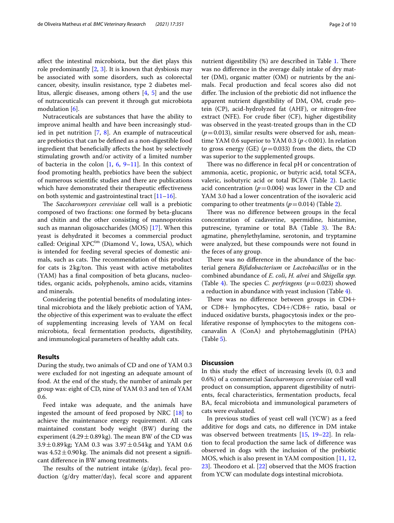afect the intestinal microbiota, but the diet plays this role predominantly  $[2, 3]$  $[2, 3]$  $[2, 3]$  $[2, 3]$ . It is known that dysbiosis may be associated with some disorders, such as colorectal cancer, obesity, insulin resistance, type 2 diabetes mellitus, allergic diseases, among others [[4,](#page-8-3) [5\]](#page-8-4) and the use of nutraceuticals can prevent it through gut microbiota modulation [[6\]](#page-8-5).

Nutraceuticals are substances that have the ability to improve animal health and have been increasingly studied in pet nutrition [[7,](#page-8-6) [8\]](#page-8-7). An example of nutraceutical are prebiotics that can be defned as a non-digestible food ingredient that benefcially afects the host by selectively stimulating growth and/or activity of a limited number of bacteria in the colon  $[1, 6, 9-11]$  $[1, 6, 9-11]$  $[1, 6, 9-11]$  $[1, 6, 9-11]$  $[1, 6, 9-11]$  $[1, 6, 9-11]$ . In this context of food promoting health, prebiotics have been the subject of numerous scientifc studies and there are publications which have demonstrated their therapeutic effectiveness on both systemic and gastrointestinal tract  $[11-16]$  $[11-16]$ .

The *Saccharomyces cerevisiae* cell wall is a prebiotic composed of two fractions: one formed by beta-glucans and chitin and the other consisting of mannoproteins such as mannan oligosaccharides (MOS) [[17](#page-9-1)]. When this yeast is dehydrated it becomes a commercial product called: Original  $XPC<sup>tm</sup>$  (Diamond V., Iowa, USA), which is intended for feeding several species of domestic animals, such as cats. The recommendation of this product for cats is  $2\text{ kg/ton}$ . This yeast with active metabolites (YAM) has a fnal composition of beta glucans, nucleotides, organic acids, polyphenols, amino acids, vitamins and minerals.

Considering the potential benefts of modulating intestinal microbiota and the likely prebiotic action of YAM, the objective of this experiment was to evaluate the efect of supplementing increasing levels of YAM on fecal microbiota, fecal fermentation products, digestibility, and immunological parameters of healthy adult cats.

# **Results**

During the study, two animals of CD and one of YAM 0.3 were excluded for not ingesting an adequate amount of food. At the end of the study, the number of animals per group was: eight of CD, nine of YAM 0.3 and ten of YAM 0.6.

Feed intake was adequate, and the animals have ingested the amount of feed proposed by NRC [\[18\]](#page-9-2) to achieve the maintenance energy requirement. All cats maintained constant body weight (BW) during the experiment  $(4.29 \pm 0.89 \text{ kg})$ . The mean BW of the CD was  $3.9 \pm 0.89$ kg; YAM 0.3 was  $3.97 \pm 0.54$ kg and YAM 0.6 was  $4.52 \pm 0.90$  kg. The animals did not present a significant diference in BW among treatments.

The results of the nutrient intake  $(g/day)$ , fecal production (g/dry matter/day), fecal score and apparent nutrient digestibility  $%$  are described in Table [1.](#page-2-0) There was no diference in the average daily intake of dry matter (DM), organic matter (OM) or nutrients by the animals. Fecal production and fecal scores also did not differ. The inclusion of the prebiotic did not influence the apparent nutrient digestibility of DM, OM, crude protein (CP), acid-hydrolyzed fat (AHF), or nitrogen-free extract (NFE). For crude fber (CF), higher digestibility was observed in the yeast-treated groups than in the CD  $(p=0.013)$ , similar results were observed for ash, meantime YAM 0.6 superior to YAM 0.3 ( $p < 0.001$ ). In relation to gross energy (GE)  $(p=0.033)$  from the diets, the CD was superior to the supplemented groups.

There was no difference in fecal pH or concentration of ammonia, acetic, propionic, or butyric acid, total SCFA, valeric, isobutyric acid or total BCFA (Table [2\)](#page-2-1). Lactic acid concentration  $(p=0.004)$  was lower in the CD and YAM 3.0 had a lower concentration of the isovaleric acid comparing to other treatments  $(p=0.014)$  (Table [2](#page-2-1)).

There was no difference between groups in the fecal concentration of cadaverine, spermidine, histamine, putrescine, tyramine or total BA (Table [3](#page-3-0)). The BA: agmatine, phenylethylamine, serotonin, and tryptamine were analyzed, but these compounds were not found in the feces of any group.

There was no difference in the abundance of the bacterial genera *Bifdobacterium* or *Lactobacillus* or in the combined abundance of *E. coli*, *H. alvei* and *Shigella spp.* (Table [4\)](#page-3-1). The species *C. perfringens* ( $p=0.023$ ) showed a reduction in abundance with yeast inclusion (Table [4\)](#page-3-1).

There was no difference between groups in  $CD4+$ or CD8+ lymphocytes, CD4+/CD8+ ratio, basal or induced oxidative bursts, phagocytosis index or the proliferative response of lymphocytes to the mitogens concanavalin A (ConA) and phytohemagglutinin (PHA) (Table [5\)](#page-3-2).

# **Discussion**

In this study the efect of increasing levels (0, 0.3 and 0.6%) of a commercial *Saccharomyces cerevisiae* cell wall product on consumption, apparent digestibility of nutrients, fecal characteristics, fermentation products, fecal BA, fecal microbiota and immunological parameters of cats were evaluated.

In previous studies of yeast cell wall (YCW) as a feed additive for dogs and cats, no diference in DM intake was observed between treatments [[15,](#page-9-3) [19–](#page-9-4)[22](#page-9-5)]. In relation to fecal production the same lack of diference was observed in dogs with the inclusion of the prebiotic MOS, which is also present in YAM composition [[11,](#page-8-9) [12](#page-8-10),  $23$ ]. Theodoro et al.  $[22]$  $[22]$  observed that the MOS fraction from YCW can modulate dogs intestinal microbiota.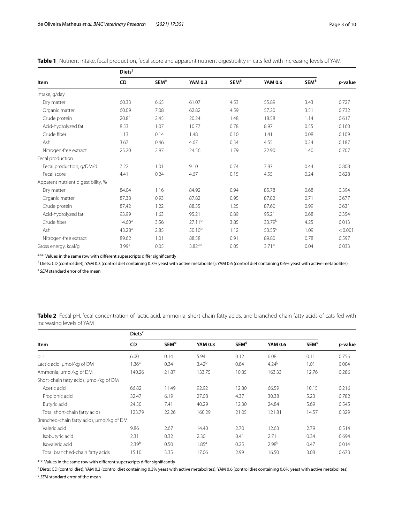<span id="page-2-0"></span>

|  |  |  |  |  | Table 1 Nutrient intake, fecal production, fecal score and apparent nutrient digestibility in cats fed with increasing levels of YAM |
|--|--|--|--|--|--------------------------------------------------------------------------------------------------------------------------------------|
|--|--|--|--|--|--------------------------------------------------------------------------------------------------------------------------------------|

|                                    | $Diets^{\dagger}$  |                  |                    |                  |                    |                  |         |  |
|------------------------------------|--------------------|------------------|--------------------|------------------|--------------------|------------------|---------|--|
| <b>Item</b>                        | CD                 | SEM <sup>‡</sup> | <b>YAM 0.3</b>     | $SEM^{\ddagger}$ | <b>YAM 0.6</b>     | SEM <sup>‡</sup> | p-value |  |
| Intake, g/day                      |                    |                  |                    |                  |                    |                  |         |  |
| Dry matter                         | 60.33              | 6.65             | 61.07              | 4.53             | 55.89              | 3.43             | 0.727   |  |
| Organic matter                     | 60.09              | 7.08             | 62.82              | 4.59             | 57.20              | 3.51             | 0.732   |  |
| Crude protein                      | 20.81              | 2.45             | 20.24              | 1.48             | 18.58              | 1.14             | 0.617   |  |
| Acid-hydrolyzed fat                | 8.53               | 1.07             | 10.77              | 0.78             | 8.97               | 0.55             | 0.160   |  |
| Crude fiber                        | 1.13               | 0.14             | 1.48               | 0.10             | 1.41               | 0.08             | 0.109   |  |
| Ash                                | 3.67               | 0.46             | 4.67               | 0.34             | 4.55               | 0.24             | 0.187   |  |
| Nitrogen-free extract              | 25.20              | 2.97             | 24.56              | 1.79             | 22.90              | 1.40             | 0.707   |  |
| Fecal production                   |                    |                  |                    |                  |                    |                  |         |  |
| Fecal production, g/DM/d           | 7.22               | 1.01             | 9.10               | 0.74             | 7.87               | 0.44             | 0.808   |  |
| Fecal score                        | 4.41               | 0.24             | 4.67               | 0.15             | 4.55               | 0.24             | 0.628   |  |
| Apparent nutrient digestibility, % |                    |                  |                    |                  |                    |                  |         |  |
| Dry matter                         | 84.04              | 1.16             | 84.92              | 0.94             | 85.78              | 0.68             | 0.394   |  |
| Organic matter                     | 87.38              | 0.93             | 87.82              | 0.95             | 87.82              | 0.71             | 0.677   |  |
| Crude protein                      | 87.42              | 1.22             | 88.35              | 1.25             | 87.60              | 0.99             | 0.631   |  |
| Acid-hydrolyzed fat                | 93.99              | 1.63             | 95.21              | 0.89             | 95.21              | 0.68             | 0.354   |  |
| Crude fiber                        | 14.60 <sup>a</sup> | 3.56             | 27.11 <sup>b</sup> | 3.85             | 33.79 <sup>b</sup> | 4.25             | 0.013   |  |
| Ash                                | 43.28 <sup>a</sup> | 2.85             | $50.10^{b}$        | 1.12             | $53.55^c$          | 1.09             | < 0.001 |  |
| Nitrogen-free extract              | 89.62              | 1.01             | 88.58              | 0.91             | 89.80              | 0.78             | 0.597   |  |
| Gross energy, kcal/g               | 3.99 <sup>a</sup>  | 0.05             | $3.82^{ab}$        | 0.05             | 3.71 <sup>b</sup>  | 0.04             | 0.033   |  |

 $a,b,c$  Values in the same row with different superscripts differ significantly

† Diets: CD (control diet); YAM 0.3 (control diet containing 0.3% yeast with active metabolites); YAM 0.6 (control diet containing 0.6% yeast with active metabolites)

‡ *SEM* standard error of the mean

<span id="page-2-1"></span>**Table 2** Fecal pH, fecal concentration of lactic acid, ammonia, short-chain fatty acids, and branched-chain fatty acids of cats fed with increasing levels of YAM

|                                           | Diets <sup>c</sup> |                        |                   |                        |                |                        |                 |  |  |
|-------------------------------------------|--------------------|------------------------|-------------------|------------------------|----------------|------------------------|-----------------|--|--|
| Item                                      | CD                 | <b>SEM<sup>d</sup></b> | <b>YAM 0.3</b>    | <b>SEM<sup>d</sup></b> | <b>YAM 0.6</b> | <b>SEM<sup>d</sup></b> | <i>p</i> -value |  |  |
| pH                                        | 6.00               | 0.14                   | 5.94              | 0.12                   | 6.08           | 0.11                   | 0.756           |  |  |
| Lactic acid, µmol/kg of DM                | 1.36 <sup>a</sup>  | 0.34                   | 3.42 <sup>b</sup> | 0.84                   | $4.24^{b}$     | 1.01                   | 0.004           |  |  |
| Ammonia, µmol/kg of DM                    | 140.26             | 21.87                  | 133.75            | 10.85                  | 163.33         | 12.76                  | 0.286           |  |  |
| Short-chain fatty acids, umol/kg of DM    |                    |                        |                   |                        |                |                        |                 |  |  |
| Acetic acid                               | 66.82              | 11.49                  | 92.92             | 12.80                  | 66.59          | 10.15                  | 0.216           |  |  |
| Propionic acid                            | 32.47              | 6.19                   | 27.08             | 4.37                   | 30.38          | 5.23                   | 0.782           |  |  |
| Butyric acid                              | 24.50              | 7.41                   | 40.29             | 12.30                  | 24.84          | 5.69                   | 0.545           |  |  |
| Total short-chain fatty acids             | 123.79             | 22.26                  | 160.29            | 21.05                  | 121.81         | 14.57                  | 0.329           |  |  |
| Branched-chain fatty acids, umol/kg of DM |                    |                        |                   |                        |                |                        |                 |  |  |
| Valeric acid                              | 9.86               | 2.67                   | 14.40             | 2.70                   | 12.63          | 2.79                   | 0.514           |  |  |
| Isobutyric acid                           | 2.31               | 0.32                   | 2.30              | 0.41                   | 2.71           | 0.34                   | 0.694           |  |  |
| Isovaleric acid                           | 2.39 <sup>b</sup>  | 0.50                   | $1.85^{a}$        | 0.25                   | $2.98^{b}$     | 0.47                   | 0.014           |  |  |
| Total branched-chain fatty acids          | 15.10              | 3.35                   | 17.06             | 2.99                   | 16.50          | 3.08                   | 0.673           |  |  |

 $a-b$  Values in the same row with different superscripts differ significantly

<sup>c</sup> Diets: CD (control diet); YAM 0.3 (control diet containing 0.3% yeast with active metabolites); YAM 0.6 (control diet containing 0.6% yeast with active metabolites)

<sup>d</sup> *SEM* standard error of the mean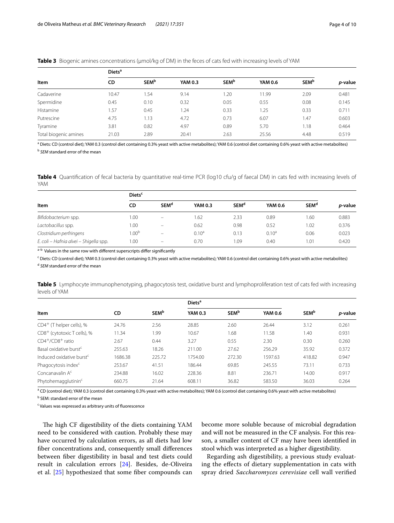<span id="page-3-0"></span>

|  | <b>Table 3</b> Biogenic amines concentrations (µmol/kg of DM) in the feces of cats fed with increasing levels of YAM |  |  |  |  |
|--|----------------------------------------------------------------------------------------------------------------------|--|--|--|--|
|  |                                                                                                                      |  |  |  |  |

|                       | Diets <sup>a</sup> |                         |                |                         |         |                         |                 |  |  |
|-----------------------|--------------------|-------------------------|----------------|-------------------------|---------|-------------------------|-----------------|--|--|
| Item                  | CD                 | <b>SEM</b> <sup>b</sup> | <b>YAM 0.3</b> | <b>SEM</b> <sup>b</sup> | YAM 0.6 | <b>SEM</b> <sup>b</sup> | <i>p</i> -value |  |  |
| Cadaverine            | 10.47              | 1.54                    | 9.14           | 1.20                    | 11.99   | 2.09                    | 0.481           |  |  |
| Spermidine            | 0.45               | 0.10                    | 0.32           | 0.05                    | 0.55    | 0.08                    | 0.145           |  |  |
| Histamine             | 1.57               | 0.45                    | 1.24           | 0.33                    | 1.25    | 0.33                    | 0.711           |  |  |
| Putrescine            | 4.75               | 1.13                    | 4.72           | 0.73                    | 6.07    | 1.47                    | 0.603           |  |  |
| Tyramine              | 3.81               | 0.82                    | 4.97           | 0.89                    | 5.70    | 1.18                    | 0.464           |  |  |
| Total biogenic amines | 21.03              | 2.89                    | 20.41          | 2.63                    | 25.56   | 4.48                    | 0.519           |  |  |

<sup>a</sup> Diets: CD (control diet); YAM 0.3 (control diet containing 0.3% yeast with active metabolites); YAM 0.6 (control diet containing 0.6% yeast with active metabolites) <sup>b</sup> *SEM* standard error of the mean

<span id="page-3-1"></span>**Table 4** Quantifcation of fecal bacteria by quantitative real-time PCR (log10 cfu/g of faecal DM) in cats fed with increasing levels of YAM

|                                        | Diets <sup>c</sup> |                          |                   |                        |                |                        |                 |  |
|----------------------------------------|--------------------|--------------------------|-------------------|------------------------|----------------|------------------------|-----------------|--|
| Item                                   | CD                 | <b>SEM<sup>d</sup></b>   | <b>YAM 0.3</b>    | <b>SEM<sup>d</sup></b> | <b>YAM 0.6</b> | <b>SEM<sup>d</sup></b> | <i>p</i> -value |  |
| Bifidobacterium spp.                   | 1.00               |                          | 1.62              | 2.33                   | 0.89           | 1.60                   | 0.883           |  |
| Lactobacillus spp.                     | 0.00               | $\overline{\phantom{0}}$ | 0.62              | 0.98                   | 0.52           | 1.02                   | 0.376           |  |
| Clostridium perfringens                | 1.00 <sup>b</sup>  | $=$                      | 0.10 <sup>a</sup> | 0.13                   | $0.10^a$       | 0.06                   | 0.023           |  |
| E. coli – Hafnia alvei – Shigella spp. | 0.00               | -                        | 0.70              | .09                    | 0.40           | 1.01                   | 0.420           |  |

a<sup>-b</sup> Values in the same row with different superscripts differ significantly

<sup>c</sup> Diets: CD (control diet); YAM 0.3 (control diet containing 0.3% yeast with active metabolites); YAM 0.6 (control diet containing 0.6% yeast with active metabolites) <sup>d</sup> *SEM* standard error of the mean

<span id="page-3-2"></span>**Table 5** Lymphocyte immunophenotyping, phagocytosis test, oxidative burst and lymphoproliferation test of cats fed with increasing levels of YAM

|                                         |         |                         | Diets <sup>a</sup> |                         |                |                         |                 |
|-----------------------------------------|---------|-------------------------|--------------------|-------------------------|----------------|-------------------------|-----------------|
| Item                                    | CD      | <b>SEM</b> <sup>b</sup> | <b>YAM 0.3</b>     | <b>SEM</b> <sup>b</sup> | <b>YAM 0.6</b> | <b>SEM</b> <sup>b</sup> | <i>p</i> -value |
| $CD4^+$ (T helper cells), %             | 24.76   | 2.56                    | 28.85              | 2.60                    | 26.44          | 3.12                    | 0.261           |
| CD8 <sup>+</sup> (cytotoxic T cells), % | 11.34   | 1.99                    | 10.67              | 1.68                    | 11.58          | 1.40                    | 0.931           |
| $CD4^+/CD8^+$ ratio                     | 2.67    | 0.44                    | 3.27               | 0.55                    | 2.30           | 0.30                    | 0.260           |
| Basal oxidative burst <sup>c</sup>      | 255.63  | 18.26                   | 211.00             | 27.62                   | 256.29         | 35.92                   | 0.372           |
| Induced oxidative burst <sup>c</sup>    | 1686.38 | 225.72                  | 1754.00            | 272.30                  | 1597.63        | 418.82                  | 0.947           |
| Phagocytosis index <sup>c</sup>         | 253.67  | 41.51                   | 186.44             | 69.85                   | 245.55         | 73.11                   | 0.733           |
| Concanavalin A <sup>c</sup>             | 234.88  | 16.02                   | 228.36             | 8.81                    | 236.71         | 14.00                   | 0.917           |
| Phytohemagglutinin <sup>c</sup>         | 660.75  | 21.64                   | 608.11             | 36.82                   | 583.50         | 36.03                   | 0.264           |

<sup>a</sup> CD (control diet); YAM 0.3 (control diet containing 0.3% yeast with active metabolites); YAM 0.6 (control diet containing 0.6% yeast with active metabolites)

<sup>b</sup> SEM: standard error of the mean

<sup>c</sup> Values was expressed as arbitrary units of fluorescence

The high CF digestibility of the diets containing YAM need to be considered with caution. Probably these may have occurred by calculation errors, as all diets had low fber concentrations and, consequently small diferences between fber digestibility in basal and test diets could result in calculation errors [\[24](#page-9-7)]. Besides, de-Oliveira et al. [[25](#page-9-8)] hypothesized that some fber compounds can

become more soluble because of microbial degradation and will not be measured in the CF analysis. For this reason, a smaller content of CF may have been identifed in stool which was interpreted as a higher digestibility.

Regarding ash digestibility, a previous study evaluating the efects of dietary supplementation in cats with spray dried *Saccharomyces cerevisiae* cell wall verifed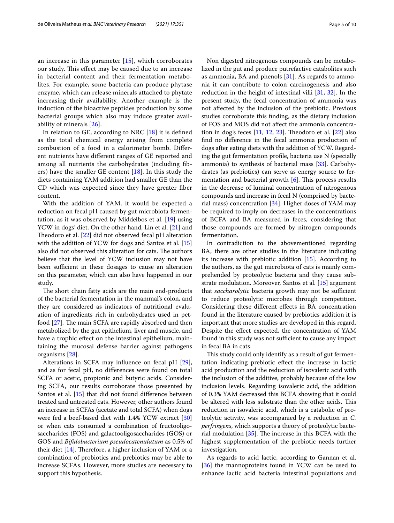an increase in this parameter [[15](#page-9-3)], which corroborates our study. This effect may be caused due to an increase in bacterial content and their fermentation metabolites. For example, some bacteria can produce phytase enzyme, which can release minerals attached to phytate increasing their availability. Another example is the induction of the bioactive peptides production by some bacterial groups which also may induce greater availability of minerals [\[26](#page-9-9)].

In relation to GE, according to NRC [[18\]](#page-9-2) it is defned as the total chemical energy arising from complete combustion of a food in a calorimeter bomb. Diferent nutrients have diferent ranges of GE reported and among all nutrients the carbohydrates (including fbers) have the smaller GE content  $[18]$  $[18]$ . In this study the diets containing YAM addition had smaller GE than the CD which was expected since they have greater fber content.

With the addition of YAM, it would be expected a reduction on fecal pH caused by gut microbiota fermentation, as it was observed by Middelbos et al. [\[19](#page-9-4)] using YCW in dogs' diet. On the other hand, Lin et al. [[21\]](#page-9-10) and Theodoro et al.  $[22]$  $[22]$  did not observed fecal pH alteration with the addition of YCW for dogs and Santos et al. [[15](#page-9-3)] also did not observed this alteration for cats. The authors believe that the level of YCW inclusion may not have been sufficient in these dosages to cause an alteration on this parameter, which can also have happened in our study.

The short chain fatty acids are the main end-products of the bacterial fermentation in the mammal's colon, and they are considered as indicators of nutritional evaluation of ingredients rich in carbohydrates used in petfood  $[27]$  $[27]$ . The main SCFA are rapidly absorbed and then metabolized by the gut epithelium, liver and muscle, and have a trophic effect on the intestinal epithelium, maintaining the mucosal defense barrier against pathogens organisms [\[28](#page-9-12)].

Alterations in SCFA may infuence on fecal pH [\[29](#page-9-13)], and as for fecal pH, no diferences were found on total SCFA or acetic, propionic and butyric acids. Considering SCFA, our results corroborate those presented by Santos et al. [\[15](#page-9-3)] that did not found difference between treated and untreated cats. However, other authors found an increase in SCFAs (acetate and total SCFA) when dogs were fed a beef-based diet with 1.4% YCW extract [[30](#page-9-14)] or when cats consumed a combination of fructooligosaccharides (FOS) and galactooligosaccharides (GOS) or GOS and *Bifdobacterium pseudocatenulatum* as 0.5% of their diet  $[14]$  $[14]$ . Therefore, a higher inclusion of YAM or a combination of probiotics and prebiotics may be able to increase SCFAs. However, more studies are necessary to support this hypothesis.

Non digested nitrogenous compounds can be metabolized in the gut and produce putrefactive catabolites such as ammonia, BA and phenols  $[31]$  $[31]$ . As regards to ammonia it can contribute to colon carcinogenesis and also reduction in the height of intestinal villi [\[31](#page-9-16), [32\]](#page-9-17). In the present study, the fecal concentration of ammonia was not afected by the inclusion of the prebiotic. Previous studies corroborate this fnding, as the dietary inclusion of FOS and MOS did not afect the ammonia concentration in dog's feces  $[11, 12, 23]$  $[11, 12, 23]$  $[11, 12, 23]$  $[11, 12, 23]$  $[11, 12, 23]$  $[11, 12, 23]$  $[11, 12, 23]$ . Theodoro et al.  $[22]$  also fnd no diference in the fecal ammonia production of dogs after eating diets with the addition of YCW. Regarding the gut fermentation profle, bacteria use N (specially ammonia) to synthesis of bacterial mass [[33\]](#page-9-18). Carbohydrates (as prebiotics) can serve as energy source to fermentation and bacterial growth  $[6]$  $[6]$ . This process results in the decrease of luminal concentration of nitrogenous compounds and increase in fecal N (comprised by bacterial mass) concentration [[34](#page-9-19)]. Higher doses of YAM may be required to imply on decreases in the concentrations of BCFA and BA measured in feces, considering that those compounds are formed by nitrogen compounds fermentation.

In contradiction to the abovementioned regarding BA, there are other studies in the literature indicating its increase with prebiotic addition [\[15](#page-9-3)]. According to the authors, as the gut microbiota of cats is mainly comprehended by proteolytic bacteria and they cause substrate modulation. Moreover, Santos et al. [\[15](#page-9-3)] argument that *saccharolytic* bacteria growth may not be sufficient to reduce proteolytic microbes through competition. Considering these diferent efects in BA concentration found in the literature caused by prebiotics addition it is important that more studies are developed in this regard. Despite the efect expected, the concentration of YAM found in this study was not sufficient to cause any impact in fecal BA in cats.

This study could only identify as a result of gut fermentation indicating prebiotic efect the increase in lactic acid production and the reduction of isovaleric acid with the inclusion of the additive, probably because of the low inclusion levels. Regarding isovaleric acid, the addition of 0.3% YAM decreased this BCFA showing that it could be altered with less substrate than the other acids. This reduction in isovaleric acid, which is a catabolic of proteolytic activity, was accompanied by a reduction in *C. perfringens*, which supports a theory of proteolytic bacterial modulation  $[35]$  $[35]$ . The increase in this BCFA with the highest supplementation of the prebiotic needs further investigation.

As regards to acid lactic, according to Gannan et al. [[36\]](#page-9-21) the mannoproteins found in YCW can be used to enhance lactic acid bacteria intestinal populations and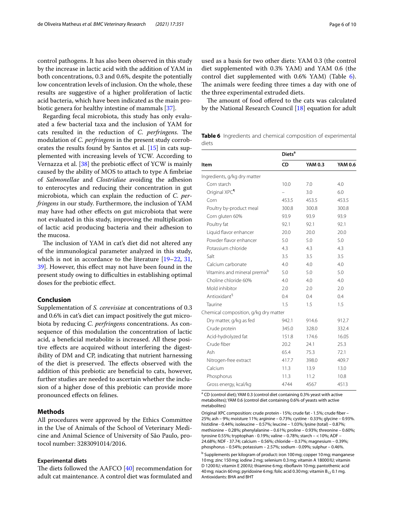control pathogens. It has also been observed in this study by the increase in lactic acid with the addition of YAM in both concentrations, 0.3 and 0.6%, despite the potentially low concentration levels of inclusion. On the whole, these results are suggestive of a higher proliferation of lactic acid bacteria, which have been indicated as the main probiotic genera for healthy intestine of mammals [[37](#page-9-22)].

Regarding fecal microbiota, this study has only evaluated a few bacterial taxa and the inclusion of YAM for cats resulted in the reduction of *C. perfringens*. The modulation of *C. perfringens* in the present study corroborates the results found by Santos et al. [\[15](#page-9-3)] in cats supplemented with increasing levels of YCW. According to Vernazza et al.  $[38]$  $[38]$  the prebiotic effect of YCW is mainly caused by the ability of MOS to attach to type A fmbriae of *Salmonellae* and *Clostridiae* avoiding the adhesion to enterocytes and reducing their concentration in gut microbiota, which can explain the reduction of *C. perfringens* in our study. Furthermore, the inclusion of YAM may have had other efects on gut microbiota that were not evaluated in this study, improving the multiplication of lactic acid producing bacteria and their adhesion to the mucosa.

The inclusion of YAM in cat's diet did not altered any of the immunological parameter analyzed in this study, which is not in accordance to the literature [\[19–](#page-9-4)[22,](#page-9-5) [31](#page-9-16), [39\]](#page-9-24). However, this efect may not have been found in the present study owing to difficulties in establishing optimal doses for the prebiotic efect.

## **Conclusion**

Supplementation of *S. cerevisiae* at concentrations of 0.3 and 0.6% in cat's diet can impact positively the gut microbiota by reducing *C. perfringens* concentrations. As consequence of this modulation the concentration of lactic acid, a benefcial metabolite is increased. All these positive efects are acquired without interfering the digestibility of DM and CP, indicating that nutrient harnessing of the diet is preserved. The effects observed with the addition of this prebiotic are benefcial to cats, however, further studies are needed to ascertain whether the inclusion of a higher dose of this prebiotic can provide more pronounced efects on felines.

# **Methods**

All procedures were approved by the Ethics Committee in the Use of Animals of the School of Veterinary Medicine and Animal Science of University of São Paulo, protocol number: 3283091014/2016.

### **Experimental diets**

The diets followed the AAFCO  $[40]$  recommendation for adult cat maintenance. A control diet was formulated and

used as a basis for two other diets: YAM 0.3 (the control diet supplemented with 0.3% YAM) and YAM 0.6 (the control diet supplemented with 0.6% YAM) (Table [6](#page-5-0)). The animals were feeding three times a day with one of the three experimental extruded diets.

The amount of food offered to the cats was calculated by the National Research Council [[18\]](#page-9-2) equation for adult

<span id="page-5-0"></span>**Table 6** Ingredients and chemical composition of experimental diets

|                                          | Diets <sup>a</sup> |                |         |
|------------------------------------------|--------------------|----------------|---------|
| Item                                     | CD                 | <b>YAM 0.3</b> | YAM 0.6 |
| Ingredients, g/kg dry matter             |                    |                |         |
| Corn starch                              | 10.0               | 7.0            | 4.0     |
| Original XPC <sup>1</sup>                |                    | 3.0            | 6.0     |
| Corn                                     | 453.5              | 453.5          | 453.5   |
| Poultry by-product meal                  | 300.8              | 300.8          | 300.8   |
| Corn gluten 60%                          | 93.9               | 93.9           | 93.9    |
| Poultry fat                              | 92.1               | 92.1           | 92.1    |
| Liquid flavor enhancer                   | 20.0               | 20.0           | 20.0    |
| Powder flavor enhancer                   | 5.0                | 5.0            | 5.0     |
| Potassium chloride                       | 4.3                | 4.3            | 4.3     |
| Salt                                     | 3.5                | 3.5            | 3.5     |
| Calcium carbonate                        | 4.0                | 4.0            | 4.0     |
| Vitamins and mineral premix <sup>b</sup> | 5.0                | 5.0            | 5.0     |
| Choline chloride 60%                     | 4.0                | 4.0            | 4.0     |
| Mold inhibitor                           | 2.0                | 2.0            | 2.0     |
| Antioxidant <sup>§</sup>                 | 0.4                | 0.4            | 0.4     |
| Taurine                                  | 1.5                | 1.5            | 1.5     |
| Chemical composition, g/kg dry matter    |                    |                |         |
| Dry matter, g/kg as fed                  | 942.1              | 914.6          | 912.7   |
| Crude protein                            | 345.0              | 328.0          | 332.4   |
| Acid-hydrolyzed fat                      | 151.8              | 174.6          | 16.05   |
| Crude fiber                              | 20.2               | 24.1           | 25.3    |
| Ash                                      | 65.4               | 75.3           | 72.1    |
| Nitrogen-free extract                    | 417.7              | 398.0          | 409.7   |
| Calcium                                  | 11.3               | 13.9           | 13.0    |
| Phosphorus                               | 11.3               | 11.2           | 10.8    |
| Gross energy, kcal/kg                    | 4744               | 4567           | 4513    |

<sup>a</sup> CD (control diet); YAM 0.3 (control diet containing 0.3% yeast with active metabolites); YAM 0.6 (control diet containing 0.6% of yeasts with active metabolites)

Original XPC composition: crude protein - 15%; crude fat - 1.5%; crude fber – 25%; ash – 9%; moisture 11%; arginine – 0.73%; cystine - 0.33%; glycine – 0.93%. histidine - 0.44%; isoleucine – 0.57%; leucine – 1.03%; lysine (total) – 0.87%; methionine – 0.28%; phenylalanine – 0.61%; proline – 0.93%; threonine – 0.60%; tyrosine 0.55%; tryptophan - 0.19%; valine – 0.78%; starch – <10%; ADF – 24.68%; NDF - 37.74; calcium – 0.56%; chloride – 0.37%; magnesium – 0.39%; phosphorus – 0.54%; potassium – 2.57%; sodium - 0.09%; sulphur – 0.46%.

**b** Supplements per kilogram of product: iron 100 mg; copper 10 mg; manganese 10mg; zinc 150mg; iodine 2mg; selenium 0.3mg; vitamin A 18000IU; vitamin D 1200IU; vitamin E 200IU; thiamine 6mg; ribofavin 10mg; pantothenic acid 40 mg; niacin 60 mg; pyridoxine 6 mg; folic acid 0.30 mg; vitamin  $B_{12}$  0.1 mg. Antioxidants: BHA and BHT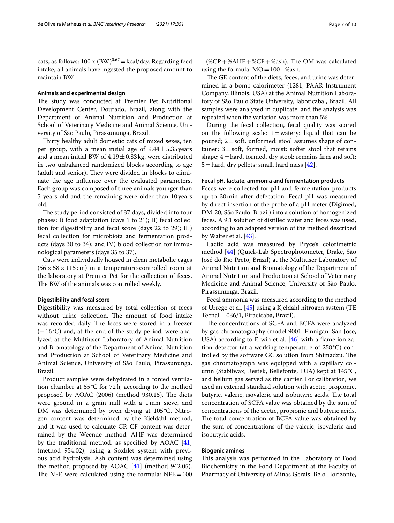cats, as follows:  $100 \times (BW)^{0.67} = \text{kcal/day}$ . Regarding feed intake, all animals have ingested the proposed amount to maintain BW.

### **Animals and experimental design**

The study was conducted at Premier Pet Nutritional Development Center, Dourado, Brazil, along with the Department of Animal Nutrition and Production at School of Veterinary Medicine and Animal Science, University of São Paulo, Pirassununga, Brazil.

Thirty healthy adult domestic cats of mixed sexes, ten per group, with a mean initial age of  $9.44 \pm 5.35$  years and a mean initial BW of  $4.19 \pm 0.83$  kg, were distributed in two unbalanced randomized blocks according to age (adult and senior). They were divided in blocks to eliminate the age infuence over the evaluated parameters. Each group was composed of three animals younger than 5 years old and the remaining were older than 10 years old.

The study period consisted of 37 days, divided into four phases: I) food adaptation (days 1 to 21); II) fecal collection for digestibility and fecal score (days 22 to 29); III) fecal collection for microbiota and fermentation products (days 30 to 34); and IV) blood collection for immunological parameters (days 35 to 37).

Cats were individually housed in clean metabolic cages  $(56 \times 58 \times 115 \text{ cm})$  in a temperature-controlled room at the laboratory at Premier Pet for the collection of feces. The BW of the animals was controlled weekly.

### **Digestibility and fecal score**

Digestibility was measured by total collection of feces without urine collection. The amount of food intake was recorded daily. The feces were stored in a freezer (−15°C) and, at the end of the study period, were analyzed at the Multiuser Laboratory of Animal Nutrition and Bromatology of the Department of Animal Nutrition and Production at School of Veterinary Medicine and Animal Science, University of São Paulo, Pirassununga, Brazil.

Product samples were dehydrated in a forced ventilation chamber at 55°C for 72h, according to the method proposed by  $AOAC$  (2006) (method 930.15). The diets were ground in a grain mill with a 1mm sieve, and DM was determined by oven drying at 105°C. Nitrogen content was determined by the Kjeldahl method, and it was used to calculate CP. CF content was determined by the Weende method. AHF was determined by the traditional method, as specifed by AOAC [[41](#page-9-26)] (method 954.02), using a Soxhlet system with previous acid hydrolysis. Ash content was determined using the method proposed by AOAC [[41\]](#page-9-26) (method 942.05). The NFE were calculated using the formula:  $NFE=100$  -  $(\%CP + \%AHF + \%CF + \%ash)$ . The OM was calculated using the formula:  $MO = 100 - %$ ash.

The GE content of the diets, feces, and urine was determined in a bomb calorimeter (1281, PAAR Instrument Company, Illinois, USA) at the Animal Nutrition Laboratory of São Paulo State University, Jaboticabal, Brazil. All samples were analyzed in duplicate, and the analysis was repeated when the variation was more than 5%.

During the fecal collection, fecal quality was scored on the following scale:  $1=$  watery: liquid that can be poured;  $2 = \text{soft}$ , unformed: stool assumes shape of container;  $3 = soft$ , formed, moist: softer stool that retains shape;  $4$  = hard, formed, dry stool: remains firm and soft;  $5 =$  hard, dry pellets: small, hard mass [[42\]](#page-9-27).

### **Fecal pH, lactate, ammonia and fermentation products**

Feces were collected for pH and fermentation products up to 30min after defecation. Fecal pH was measured by direct insertion of the probe of a pH meter (Digimed, DM-20, São Paulo, Brazil) into a solution of homogenized feces. A 9:1 solution of distilled water and feces was used, according to an adapted version of the method described by Walter et al. [[43](#page-9-28)].

Lactic acid was measured by Pryce's colorimetric method [[44\]](#page-9-29) (Quick-Lab Spectrophotometer, Drake, São José do Rio Preto, Brazil) at the Multiuser Laboratory of Animal Nutrition and Bromatology of the Department of Animal Nutrition and Production at School of Veterinary Medicine and Animal Science, University of São Paulo, Pirassununga, Brazil.

Fecal ammonia was measured according to the method of Urrego et al. [[45\]](#page-9-30) using a Kjeldahl nitrogen system (TE Tecnal – 036/1, Piracicaba, Brazil).

The concentrations of SCFA and BCFA were analyzed by gas chromatography (model 9001, Finnigan, San Jose, USA) according to Erwin et al.  $[46]$  $[46]$  with a flame ionization detector (at a working temperature of  $250^{\circ}$ C) controlled by the software GC solution from Shimadzu. The gas chromatograph was equipped with a capillary column (Stabilwax, Restek, Bellefonte, EUA) kept at 145 °C, and helium gas served as the carrier. For calibration, we used an external standard solution with acetic, propionic, butyric, valeric, isovaleric and isobutyric acids. The total concentration of SCFA value was obtained by the sum of concentrations of the acetic, propionic and butyric acids. The total concentration of BCFA value was obtained by the sum of concentrations of the valeric, isovaleric and isobutyric acids.

### **Biogenic amines**

This analysis was performed in the Laboratory of Food Biochemistry in the Food Department at the Faculty of Pharmacy of University of Minas Gerais, Belo Horizonte,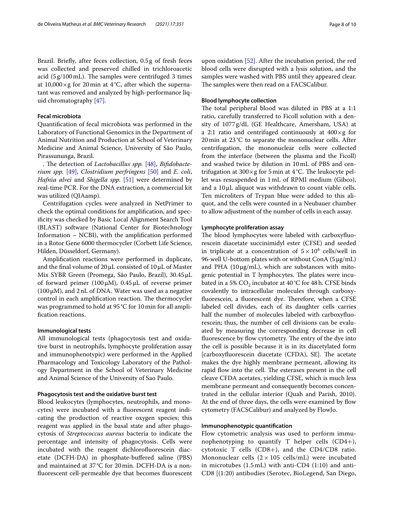Brazil. Briefy, after feces collection, 0.5g of fresh feces was collected and preserved chilled in trichloroacetic acid  $(5g/100 \text{ mL})$ . The samples were centrifuged 3 times at  $10,000 \times g$  for 20 min at 4 °C, after which the supernatant was removed and analyzed by high-performance liquid chromatography [\[47](#page-9-32)].

## **Fecal microbiota**

Quantifcation of fecal microbiota was performed in the Laboratory of Functional Genomics in the Department of Animal Nutrition and Production at School of Veterinary Medicine and Animal Science, University of São Paulo, Pirassununga, Brazil.

. The detection of *Lactobacillus spp.* [[48\]](#page-9-33), *Bifidobacterium spp.* [\[49](#page-9-34)], *Clostridium perfringens* [[50\]](#page-9-35) and *E. coli*, *Hafnia alvei* and *Shigella spp.* [[51](#page-9-36)] were determined by real-time PCR. For the DNA extraction, a commercial kit was utilized (QIAamp).

Centrifugation cycles were analyzed in NetPrimer to check the optimal conditions for amplifcation, and specifcity was checked by Basic Local Alignment Search Tool (BLAST) software (National Center for Biotechnology Information – NCBI), with the amplifcation performed in a Rotor Gene 6000 thermocycler (Corbett Life Science, Hilden, Düsseldorf, Germany).

Amplifcation reactions were performed in duplicate, and the fnal volume of 20μL consisted of 10μL of Master Mix SYBR Green (Promega, São Paulo, Brazil), 30.45μL of forward primer (100 $\mu$ M), 0.45 $\mu$ L of reverse primer  $(100 \,\mu\text{M})$ , and 2 nL of DNA. Water was used as a negative control in each amplification reaction. The thermocycler was programmed to hold at 95°C for 10min for all amplifcation reactions.

### **Immunological tests**

All immunological tests (phagocytosis test and oxidative burst in neutrophils, lymphocyte proliferation assay and immunophenotypic) were performed in the Applied Pharmacology and Toxicology Laboratory of the Pathology Department in the School of Veterinary Medicine and Animal Science of the University of Sao Paulo.

## **Phagocytosis test and the oxidative burst test**

Blood leukocytes (lymphocytes, neutrophils, and monocytes) were incubated with a fuorescent reagent indicating the production of reactive oxygen species; this reagent was applied in the basal state and after phagocytosis of *Streptococcus aureus* bacteria to indicate the percentage and intensity of phagocytosis. Cells were incubated with the reagent dichlorofuorescein diacetate (DCFH-DA) in phosphate-bufered saline (PBS) and maintained at 37°C for 20min. DCFH-DA is a nonfuorescent cell-permeable dye that becomes fuorescent

upon oxidation [\[52](#page-9-37)]. After the incubation period, the red blood cells were disrupted with a lysis solution, and the samples were washed with PBS until they appeared clear. The samples were then read on a FACSCalibur.

### **Blood lymphocyte collection**

The total peripheral blood was diluted in PBS at a 1:1 ratio, carefully transferred to Ficoll solution with a density of 1077g/dL (GE Healthcare, Amersham, USA) at a 2:1 ratio and centrifuged continuously at  $400 \times g$  for 20min at 23 °C to separate the mononuclear cells. After centrifugation, the mononuclear cells were collected from the interface (between the plasma and the Ficoll) and washed twice by dilution in 10mL of PBS and centrifugation at  $300 \times g$  for 5 min at 4 °C. The leukocyte pellet was resuspended in 1mL of RPMI medium (Gibco), and a 10μL aliquot was withdrawn to count viable cells. Ten microliters of Trypan blue were added to this aliquot, and the cells were counted in a Neubauer chamber to allow adjustment of the number of cells in each assay.

### **Lymphocyte proliferation assay**

The blood lymphocytes were labeled with carboxyfluorescein diacetate succinimidyl ester (CFSE) and seeded in triplicate at a concentration of  $5 \times 10^4$  cells/well in 96-well U-bottom plates with or without ConA (5μg/mL) and PHA  $(10\,\mu\text{g/mL})$ , which are substances with mitogenic potential in T lymphocytes. The plates were incubated in a 5%  $CO_2$  incubator at 40 °C for 48 h. CFSE binds covalently to intracellular molecules through carboxyfluorescein, a fluorescent dye. Therefore, when a CFSE labeled cell divides, each of its daughter cells carries half the number of molecules labeled with carboxyfuorescein; thus, the number of cell divisions can be evaluated by measuring the corresponding decrease in cell fluorescence by flow cytometry. The entry of the dye into the cell is possible because it is in its diacetylated form [carboxyfluorescein diacetate (CFDA), SE]. The acetate makes the dye highly membrane permeant, allowing its rapid flow into the cell. The esterases present in the cell cleave CFDA acetates, yielding CFSE, which is much less membrane permeant and consequently becomes concentrated in the cellular interior (Quah and Parish, 2010). At the end of three days, the cells were examined by fow cytometry (FACSCalibur) and analyzed by FlowJo.

## **Immunophenotypic quantifcation**

Flow cytometric analysis was used to perform immunophenotyping to quantify T helper cells (CD4+), cytotoxic T cells (CD8+), and the CD4/CD8 ratio. Mononuclear cells  $(2 \times 105 \text{ cells/mL})$  were incubated in microtubes (1.5 mL) with anti-CD4 (1:10) and anti-CD8 [(1:20) antibodies (Serotec, BioLegend, San Diego,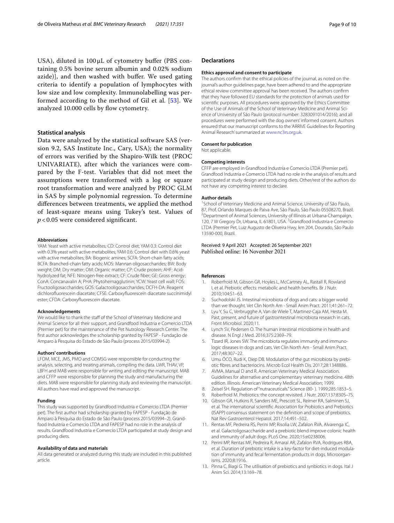USA), diluted in 100 μL of cytometry bufer (PBS containing 0.5% bovine serum albumin and 0.02% sodium azide)], and then washed with bufer. We used gating criteria to identify a population of lymphocytes with low size and low complexity. Immunolabelling was performed according to the method of Gil et al. [\[53](#page-9-38)]. We analyzed 10.000 cells by flow cytometry.

## **Statistical analysis**

Data were analyzed by the statistical software SAS (version 9.2, SAS Institute Inc., Cary, USA); the normality of errors was verifed by the Shapiro-Wilk test (PROC UNIVARIATE), after which the variances were compared by the F-test. Variables that did not meet the assumptions were transformed with a log or square root transformation and were analyzed by PROC GLM in SAS by simple polynomial regression. To determine diferences between treatments, we applied the method of least-square means using Tukey's test. Values of *p* < 0.05 were considered signifcant.

#### **Abbreviations**

YAM: Yeast with active metabolites; CD: Control diet; YAM 0.3: Control diet with 0.3% yeast with active metabolites; YAM 0.6: Control diet with 0.6% yeast with active metabolites; BA: Biogenic amines; SCFA: Short-chain fatty acids; BCFA: Branched-chain fatty acids; MOS: Mannan oligosaccharides; BW: Body weight; DM: Dry matter; OM: Organic matter; CP: Crude protein; AHF: Acidhydrolyzed fat; NFE: Nitrogen-free extract; CF: Crude fber; GE: Gross energy; ConA: Concanavalin A; PHA: Phytohemagglutinin; YCW: Yeast cell wall; FOS: Fructooligosaccharides; GOS: Galactooligosaccharides; DCFH-DA: Reagent dichlorofuorescein diacetate; CFSE: Carboxyfuorescein diacetate succinimidyl ester; CFDA: Carboxyfuorescein diacetate.

#### **Acknowledgements**

We would like to thank the staff of the School of Veterinary Medicine and Animal Science for all their support, and Grandfood Industria e Comercio LTDA (Premier pet) for the maintenance of the Pet Nutrology Research Center. The frst author acknowledges the scholarship granted by FAPESP - Fundação de Amparo à Pesquisa do Estado de São Paulo (process 2015/03994-2).

#### **Authors' contributions**

LFOM, MCE, JMS, PMO and COMSG were responsible for conducting the analysis, selecting, and treating animals, compiling the data. LWR, THAV, VP, LBFH and MAB were responsible for writing and editing the manuscript. MAB and CFFP were responsible for planning the study and manufacturing the diets. MAB were responsible for planning study and reviewing the manuscript. All authors have read and approved the manuscript.

#### **Funding**

This study was supported by Grandfood Industria e Comercio LTDA (Premier pet). The frst author had scholarship granted by FAPESP - Fundação de Amparo à Pesquisa do Estado de São Paulo (process 2015/03994–2). Grandfood Industria e Comercio LTDA and FAPESP had no role in the analysis of results. Grandfood Industria e Comercio LTDA participated at study design and producing diets.

#### **Availability of data and materials**

All data generated or analyzed during this study are included in this published article.

#### **Declarations**

#### **Ethics approval and consent to participate**

The authors confrm that the ethical policies of the journal, as noted on the journal's author guidelines page, have been adhered to and the appropriate ethical review committee approval has been received. The authors confrm that they have followed EU standards for the protection of animals used for scientifc purposes. All procedures were approved by the Ethics Committee of the Use of Animals of the School of Veterinary Medicine and Animal Science of University of São Paulo (protocol number: 3283091014/2016); and all procedures were performed with the dog owners' informed consent. Authors ensured that our manuscript conforms to the 'ARRIVE Guidelines for Reporting Animal Research' summarized at [www.nc3rs.org.uk.](http://www.nc3rs.org.uk)

#### **Consent for publication**

Not applicable.

#### **Competing interests**

CFFP are employed in Grandfood Industria e Comercio LTDA (Premier pet). Grandfood Industria e Comercio LTDA had no role in the analysis of results and participated at study design and producing diets. Other/rest of the authors do not have any competing interest to declare.

#### **Author details**

<sup>1</sup> School of Veterinary Medicine and Animal Science, University of São Paulo, 87, Prof. Orlando Marques de Paiva Ave, São Paulo, São Paulo 05508270, Brazil. <sup>2</sup> Department of Animal Sciences, University of Illinois at Urbana-Champaign, 120, 7 W Gregory Dr, Urbana, IL 61801, USA. <sup>3</sup> Grandfood Industria e Comercio LTDA (Premier Pet, Luiz Augusto de Oliveira Hwy, km 204, Dourado, São Paulo 13590-000, Brazil.

### Received: 9 April 2021 Accepted: 26 September 2021 Published online: 16 November 2021

#### **References**

- <span id="page-8-0"></span>Roberfroid M, Gibson GR, Hoyles L, McCartney AL, Rastall R, Rowland I, et al. Prebiotic efects: metabolic and health benefts. Br J Nutr. 2010;104:S1–63.
- <span id="page-8-1"></span>2. Suchodolski JS. Intestinal microbiota of dogs and cats: a bigger world than we thought. Vet Clin North Am - Small Anim Pract. 2011;41:261–72.
- <span id="page-8-2"></span>3. Lyu Y, Su C, Verbrugghe A, Van de Wiele T, Martinez-Caja AM, Hesta M. Past, present, and future of gastrointestinal microbiota research in cats. Front Microbiol. 2020;11.
- <span id="page-8-3"></span>4. Lynch SV, Pedersen O. The human intestinal microbiome in health and disease. N Engl J Med. 2016;375:2369–79.
- <span id="page-8-4"></span>Tizard IR, Jones SW. The microbiota regulates immunity and immunologic diseases in dogs and cats. Vet Clin North Am - Small Anim Pract. 2017;48:307–22.
- <span id="page-8-5"></span>6. Umu ÖCO, Rudi K, Diep DB. Modulation of the gut microbiota by prebiotic fbres and bacteriocins. Microb Ecol Health Dis. 2017;28:1348886.
- <span id="page-8-6"></span>AVMA. Manual D and R. American Veterinary Medical Association. Guidelines for alternative and complementary veterinary medicine. 48th edition. Illinois: American Veterinary Medical Association; 1999.
- <span id="page-8-7"></span>8. Zeisel SH. Regulation of "nutraceuticals." Science (80- ). 1999;285:1853–5.
- <span id="page-8-8"></span>9. Roberfroid M. Prebiotics: the concept revisited. J Nutr. 2007;137:830S–7S.
- 10. Gibson GR, Hutkins R, Sanders ME, Prescott SL, Reimer RA, Salminen SJ, et al. The international scientifc Association for Probiotics and Prebiotics (ISAPP) consensus statement on the defnition and scope of prebiotics. Nat Rev Gastroenterol Hepatol. 2017;14:491–502.
- <span id="page-8-9"></span>11. Rentas MF, Pedreira RS, Perini MP, Risolia LW, Zafalon RVA, Alvarenga IC, et al. Galactoligosaccharide and a prebiotic blend improve colonic health and immunity of adult dogs. PLoS One. 2020;15:e0238006.
- <span id="page-8-10"></span>12. Perini MP, Rentas MF, Pedreira R, Amaral AR, Zafalon RVA, Rodrigues RBA, et al. Duration of prebiotic intake is a key-factor for diet-induced modulation of immunity and fecal fermentation products in dogs. Microorganisms. 2020;8:1916.
- 13. Pinna C, Biagi G. The utilisation of prebiotics and synbiotics in dogs. Ital J Anim Sci. 2014;13:169–78.